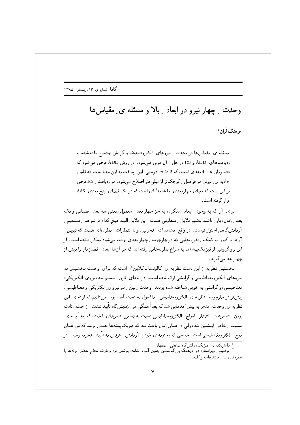## وحدت \_ چهار نیرو در ابعاد \_ بالا و مسئله ی\_ مقیاس ها  $^1$ فوهنگ لُران ن

مسئله ي ِ مقياسها در وحدت ِ نيروهاي ِ الكتروضعيف و گرانش توضيح داده شده، و رهیافتهای ِ ADD و RS در حل ِ آن مرور میشود. در روش ADD فرض میشود که فضازمان  $n+1$  بعدی است، که 2 $2 \leq n \leq n$ . درستبی ِ این رمیافت به این معنا است که قانون جاذبه ی ِ نیوتن در فواصل ِ کوچکتر از میلی متر اصلاح میشود. در رمیافت ِ RS فرض بر این است که دنیای چهاربعدی ِ ما شامه 12ی است که در یک فضای ِ پنج بعدی ِ AdS قرا, گرفته است.

برای ِ آن که به وجود ِ ابعاد ِ دیگری به جز چهاربعد ِ معمول، یعنی سه بعد ِ فضایی و یک بعد \_ زمان، باور داشته باشیم دلایل \_ متفاوتی هست. این دلایل البته هیچ کدام بر شواهد \_ مستقیم \_ آزمایشگاهی استوار نیست. در واقع، مشاهدات ِ تجربی، و یا انتظارات ِ نظریای هست که تبیین ِ آنها تا کنون به کمک ِ نظریههایی که در چارچوب ِ چهاربعدی نوشته می شود ممکن نشده است. از این رو گروهی از فیزیکپیشهها به سراغ نظریههایی رفته اند که در آنها ابعاد ِ فضازمان را بیش از چھار بعد مے گیرند.

نخستین نظریه از این دست نظریه ی ِ کالوتسا ـ کلاین<sup>ه)</sup> است که برای ِ وحدت بخشیدن به نیروهای ِالکترومغناطیسی و گرانشی ارائه شده است. در ابتدای ِ قرن ِ بیستم سه نیروی ِ الکتریکی، مغناطیسی، و گرانشی به خوبی شناخته شده بودند. وحدت ِ بین ِ دو نیروی ِ الکتریکی و مغناطیسی، پیش تر در چارچوب ِ نظریه ی ِ الکترومغناطیس ِ ماکسول به دست آمده بود. میدانیم که ارائه ی ِ این نظریه ی ِ وحدت، منجر به پیش آمدهایی شد که بعداً همگی در آزمایش گاه تأیید شدند. از جمله، ثابت بودن ۱٬۵٪ سرعت [انتشار | امواج | الکترومغناطیسی نسبت به تمامی ِ ناظرهای ِ لخت، که بعداً یایه ی ِ نسبیت ِ خاص اینشتین شد، ولی در همان زمان باعث شد که فیزیکپیشهها حدس بزنند که نور همان موج ِ الکترومغناطیسی است. حدسی که به نوبه ی ِخود با آزمایش ِ هرتس به تأیید ِ تجربه رسید. در

دانش کده ی ِ فیزیک، دانش گاه صنعتی ِ اصفهان

<sup>&</sup>lt;sup>2</sup> توضیح ِ ویراستار: در فرهنگ بزرگ سخن چنین آمده: شامه، پوشش نرم و نازک سطح بعضی لولهها یا حفرههای بدن مانند قلب و کلیه.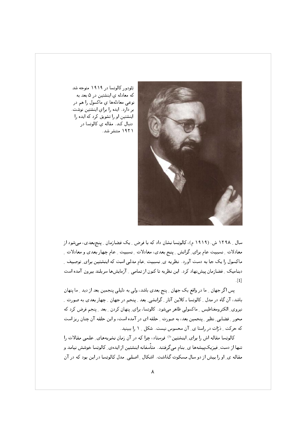

2@ # (S] & 2?& #G)- ? ال کې توب او د ا '@! #G)- -& - 52- - & - 52- tG - (- #G)- 0 2) Z! ۱۹۲۱ منتشر شد.

ے میں اس کی اس کے اس کے مسلم اس کے اس کے اس کے اس کے اس کے مسلم اس کے اس کے مسلم اس کا اس کا اس کا اس کا اس کا معادلات رئسبیت عام برای ِ درانش ِ رینج بعدی، معادلات رئسبیت رعام چهار بعدی و معادلات ِ ما نسول را یک جا به دست اورد. نظریه ی نسبیت عام مدلی است که اینشتین برای ِ توصیف ِ دینامیک ِ فضارُمان پیش نهاد کرد. این نظریه تا کنون از تمامی ِ ِ ارْمایش ها سربلند بیرون امده است  $\lceil 1 \rceil$ 

- 1972، 1982، 1982، 1982، 1982، 1982، 1982، 1982، 1982، 1982، 1982، 1982، 1982، 1982، 1982، 1982، 1982، 1982، 1 , q & 2?& FP F Oy). 2?& G!-4 ] > X 2 5 4 2@ & x Oy). 2?& F). -& @ 6 k H )f( # - ( ! محور \_ فضایی ٍ نظیر \_ پنجمین بعد ، به صورت \_ حلقه ای در امده است ، و این حلقه ان چنان ریز است له حرکت ِ درّات در راستا ی ِ آن محسوس نیست. شکل ِ ۱ را ببینید.

حالوتسا مقاله اش را برای ِ اینشتین \* ) فرستاد، چرا که در آن زمان نشریههای ِ علمی مقالات را انتها از دست ِ میزیک پیشهها ی ِ بنام می درفتند. متاسفانه اینشتین از ایدهی ِ دالوتسا خوشش نیامد و معاله ی ِ او را بیش از دو سال مسکوت کداشت. اشکال ِ اصلی ِ مدل کالوتسا در این بود که در ان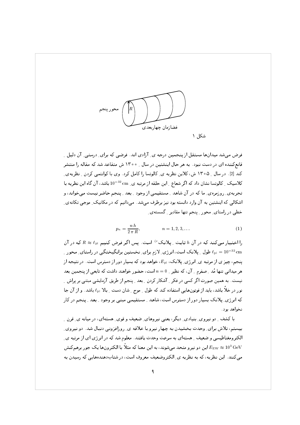

فرض می شد میدانها مستقل از پنجمین درجه ی ِ آزادی اند. فرضی که برای ِ درستی ِ آن دلیل ِ ِ قانع کننده ای در دست نبود . به هر حال اینشتین در سال ۱۳۰۰ ش متقاعد شد که مقاله را منتشر کند [2]. در سال ِ ۱۳۰۵ ش، کلاین نظریه ی ِ کالوتسا را کامل کرد. وی با کوانتمی کردن ِ نظریهی ِ کلاسیک ِ کالوتسا نشان داد که اگر شعاع ِ این حلقه از مرتبه ی ِ mm 32 cm باشد، آن گاه این نظریه با تجربه ی ِ روزمرهی ِ ما که در آن شاهد ِ مستقیمی از وجود ِ بعد ِ پنجم حاضر نیست میخواند، و اشکالی که اینشتین به آن وارد دانسته بود نیز برطرف میشد. میدانیم که در مکانیک ِ موجی تکانه ی ِ خطی در راستای ِ محور ِ پنجم تنها مقادیر ِ گسسته ی

$$
p_n = \frac{n \, h}{2 \, \pi \, R}, \qquad n = 1, 2, 3, \dots \tag{1}
$$

را اختیار می کند که در آن h ثابت ِ پلانک<sup>6)</sup> است. پس اگر فرض کنیم ہ $R \approx \ell_{\rm pl}$  که در آن طول پیلانک است، انرژی ِلازم برای ِنخستین برانگیختگی در راستای ِ محور ِ  $\ell_{\rm pl} = 10^{-32} \, {\rm cm}$ ینجم، چیز ی از مرتبه ی ِ انرژی ِ پلانک، ، $E_{\rm pl}$ ، خواهد بود که بسیار دور از دسترس است. در نتیجه از هر میدانی تنها مُد \_ صفرم \_ آن، که نظیر \_ 0 = n است، حضور خواهند داشت که تابعی از پنجمین بعد نیست. به همین صورت اگر کسی در فکر <sub>-</sub> آشکار کردن <sub>-</sub> بعد <sub>-</sub> پنجم از طریق آزمایشی مبتنی بر پراش <sub>-</sub> نور در خلاً باشد، باید از فوتونهایی استفاده کند که طول <sub>-</sub> موج <sub>-</sub> شان دست <sub>-</sub> بالا <sub>ات</sub>اً باشد. و از آن جا که انرژی ِ پلانک بسیار دور از دسترس است، شاهد ِ مستقیمی مبنی بر وجود ِ بعد ِ پنجم در کار نخواهد بود.

با کشف ۱ِ دو نیروی ِ بنیادی ِ دیگر، یعنی نیروهای ِ ضعیف و قوی ِ هستهای، در میانه ی ِ قرن ۱ بیستم، تلاش برای ِ وحدت بخشیدن به چهار نیرو با علاقه ی ِ روزافزونی دنبال شد. دو نیروی ِ الکترومغناطیسی و ضعیف ِ هستهای به سرعت وحدت یافتند. معلوم شد که در انرژی ای از مرتبه ی ین دو نیرو متحد میشوند، به این معنا که مثلاً با الکترونها یک جور برهمکنش  $E_{\rm EW}\approx 10^3~{\rm GeV}$ می کنند. این نظریه، که به نظریه ی ِ الکتروضعیف معروف است، در شتابِ(هندههایی که رسیدن به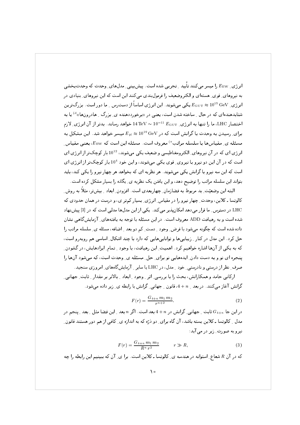انر ژی\_ E<sub>EW</sub> را میسر می کنند تأیید \_ تجربی شده است. پیش بینی ِ مدلهای ِ وحدت که وحدتبخشی په نيروهاي قوي هستهاي و الكتروضعيف را فرمول بندي مي كنند اين است كه اين نيروهاي بنيادي در انر ژی ، Egu $_{\rm T}\approx 10^{15}\,{\rm GeV}$  یکی می شوند . این انرژی اساساً از دست س په دور است. بزرگ ترین شتابدهندهای که در حال ِ ساخته شدن است، یعنی در «برخورددهنده ی ِ بزرگ ِ هادرونها»<sup>d</sup> یا به اختصار LHC، ما را تنها به انرژی ِ $E_{\rm GUT} \simeq 10^{-11} \, E_{\rm GUT}$  خواهد رساند. بدتر از آن انرژی ِ لازم برای ِ رسیدن به وحدت با گرانش است که در  $\rm{GeV}$   $E_{\rm pl} \approx 10^{19} \, \rm{GeV}$  میسر خواهد شد. این مشکل به مسئله ي مقياسها يا سلسله مراتب® معروف است. مسئله اين است كه E<sub>EW،</sub> يعني مقياس انرژی ای که در آن نیروهای الکترومغناطیسی و ضعیف یکی می شوند، 10<sup>12</sup> بار کوچک تر از انرژی ای است که در آن این دو نیرو با نیروی ِ قوی یکمی می شوند، و این خود 10<sup>4</sup> بار کوچکتر از انرژی ای است که این سه نیرو با گرانش یکی میشوند. هر نظریه ای که بخواهد هر چهار نیرو را یکی کند، باید بتواند این سلسله مراتب را توضیح دهد، و این یافتن یک نظریه ی ِ یگانه را بسیار مشکل کرده است.

البته این وضعیّت ِ بد مربوط به فضازمان ِ چهاربعدی است. افزودن ِ ابعاد ِ بیشتر، مثلاً به روش ِ کالوتسا ـ کلاین، وحدت ِ چهار نیرو را در مقیاس ِ انرژی ِ بسیار کمتر ی، و درست در همان حدودی که LHC در دسترس ِ ما قرار میدهد امکان پذیر میکند. یکی از این مدلها مدلی است که در [3] پیش نهاد شده است و به رهیافت ADD معروف است. در این مسئله با توجه به یافتههای ِ آزمایش گاهی نشان داده شده است که چگونه می شود با فرض ِ وجود ِ دست ِ کم دو بعد ِ اضافه، مسئله ی ِ سلسله مراتب را حل کرد. این مدل در کنار <sub>-</sub> زیباییها و تواناییهایی که دارد با چند اشکال ِ اساسی هم روبهرو است، که به یکی از آنها اشاره خواهیم کرد. اهمیت ِ این رهیافت، با وجود -ِ تمام ِ ایرادهایش، در گشودن ِ پنجره ای نو و به دست دادن ِ ایدههایی نو برای ِ حل ِ مسئله ی ِ وحدت است، که میشود آنها را صرف ِ نظر از درستی و نادرستی ِ خود ِ مدل، در LHC یا سایر ِ آزمایش گاههای ِ امروزی سنجید.

ارکانی حامد و همکارانش، بحث را با بررسی ِ اثر ِ وجود ِ ابعاد ِ بالاتر بر مقدار ِ ثابت ِ جهانی ِ گرانش آغاز میکنند. در بعد 1 $n\neq 4$ ، قانون 1 جهانی ـ گرانش با رابطه ی ـ زیر داده می شود.

$$
F(r) = \frac{G_{4+n} m_1 m_2}{r^{n+2}}.
$$
\n(2)

در این جا  $G_{4+n}$  ثابت ِ جهانی ِ گرانش در  $n+1$  بعد است. اگر  $n$  بعد ِ این فضا مثل ِ بعد ِ پنجم در مدل \_ کالوتسا ـ کلاین بسته باشد، آن گاه برای ِ دو دُرّه که به اندازه ی ِ کافی از هم دور هستند قانون ِ نیرو به صورت ِ زیر در می آید:

$$
F(r) = \frac{G_{4+n} \, m_1 \, m_2}{R^n \, r^2} \qquad r \gg R,\tag{3}
$$

که در آن  $R$  شعاع ِ استوانه در هندسه ی ِ کالوتسا ـ کلاین است. برا ی ِ آن که ببینیم این رابطه را چه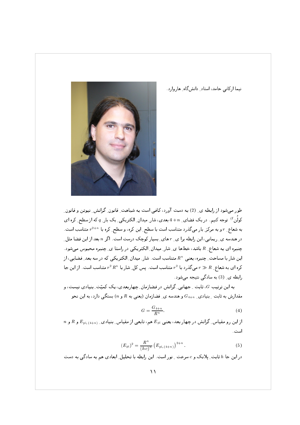نیما ارکانی حامد، استاد ِ دانشگاه ِ هاروارد.



طور می شود از رابطه ی ِ (2) به دست آورد، کافی است به شباهت ِ قانون ِ گرانش ِ نیوتن و قانون ِ کولُن<sup>۴)</sup> توجه کنیم. در یک فضای ِ n +4 بعدی، شارِ میدان ِ الکتریکی ِ یک بار ِ q که از سطح ِ کره ای به شعاع ِ r و به مرکز بار میگذرد متناسب است با سطح ِ این کره، و سطح ِ کره با  $r^{2+n}$  متناسب است. در هندسه ی ِ ریمانی، این رابطه برا ی ِ r های ِ بسیار کوچک درست است. اگر n بعد از این فضا مثل ِ چنبره ای به شعاع ِ R باشد، خطها ی ِ شار ِ میدان ِ الکتریکی در راستا ی ِ چنبره محبوس میشود. این شار با مساحت ِ چنبره، یعنی  $R^n$  متناسب است. شار ِ میدان ِ الکتریکی که در سه بعد ِ فضایی، از کره ای به شعاع ِ  $R\gg r\gg r$  می گذرد با  $r^2$  متناسب است. پس کل ِ شار با  $r^2\,R^n$  متناسب است. از این جا رابطه ی ِ (3) به سادگی نتیجه میشود.

به این ترتیب G، ثابت ِ جهانبی ِ گرانش در فضازمان ِ چهاربعدی، یک کمیّت ِ بنیادی نیست، و مقدارش به ثابت ِ بنیادی ِ  $G_{4+n}$  و هندسه ی ِ فضازمان (یعنی به  $R$  و  $n$ ) بستگی دارد، به این نحو

$$
G = \frac{G_{4+n}}{R^n}.\tag{4}
$$

 $n$  از این رو مقیاس ِگرانش در چهار بعد، یعنی  $E_{\rm pl}$  هم، تابعی از مقیاس ِ بنیادی ِ  $E_{\rm pl,\,(4+n)}$  و  $R$  و  $R$ است .

$$
(E_{\rm pl})^2 = \frac{R^n}{(h\,c)^n} \left( E_{\rm pl, (4+n)} \right)^{2+n} . \tag{5}
$$

در این جا h ثابت ِ پلانک و c سرعت ِ نور است. این رابطه با تحلیل ِ ابعادی هم به سادگی به دست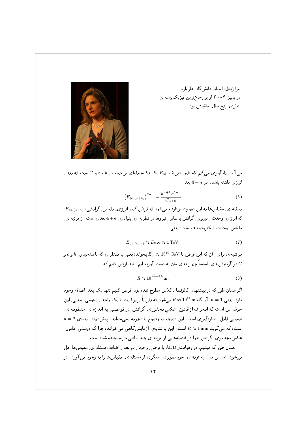



میآید. یادآوری میکنم که طبق تعریف،  $E_{\rm pl}$  یک تکجملهای بر حسب ِ  $h$  و c و G است که بعد ِ  $4+n$  انرژی داشته باشد. در  $4+n$ بعد

$$
\left(E_{\mathrm{pl},\,(4+n)}\right)^{2+n} = \frac{h^{n+1}c^{5+n}}{G_{4+n}}.\tag{6}
$$

، مسئله ی ِ مقیاسها به این صورت برطرف می شود که فرض کنیم انرژی ِ مقیاس ِ گرانشی،  $E_{\rm pl,\,(4+n)}$ ، که انرژی ِ وحدت ِ نیروی ِ گرانش با سایر ِ نیروها در نظریه ی ِ بنیادی ِ  $n+4$ بعدی است، از مرتبه ی ِ مقياس وحدت الكتروضعيف است، يعني

$$
E_{\rm pl, (4+n)} \approx E_{\rm EW} \approx 1 \,\text{TeV}.\tag{7}
$$

در نتیجه، برای ِ آن که این فرض با GeV و  $E_{\rm pl} \approx 10^{19} \, {\rm GeV}$  بخواند؛ یعنی با مقدار ی که با سنجیدن ِ  $h$  و  $c$  و در آزمایشهای ِ اساساً چهاربعدی مان به دست آورده ایم؛ باید فرض کنیم که  $G$ 

$$
R \approx 10^{\frac{30}{n} - 19} \,\mathrm{m}.\tag{8}
$$

اگر همان طور که در پیشنهاد ِ کالوتسا ـ کلاین مطرح شده بود، فرض کنیم تنها یک بعد ِ اضافه وجود دارد، یعنی  $1-1$  آن گاه $10^{11} \ {\rm m} \approx 10^{11}$  میشود که تقریباً برابر است با یک واحد ِ نجومی . معنی ِ این حرف این است که انحراف از قانون ِ عکسِمجِذُورِی ِ گرانش، در فواصلی به اندازه ی ِ منظومه ی ِ  $n=2$  شمسی قابل ِ اندازهگیری است. این نتیجه به وضوح با تجربه نمیخواند. پیشنهاد ِ بعدی  $n=2$ است، که می گوید nm یا R ≈ 1 است. این با نتایج ِ آزمایشگاهی میخواند، چرا که درستی ِ قانون ِ عکسمجذوری ِ گرانش تنها در فاصلههایی از مرتبه یِ چند سانتیمتر سنجیده شده است.

همان طور که دیدیم، در رهیافت ِ ADD با فرض ِ وجود ِ دو بعد ِ اضافه، مسئله ی ِ مقیاسها حل می شود. اما این مدل به نوبه ی ِ خود صورت ِ دیگری از مسئله ی ِ مقیاسها را به وجود می آورد. در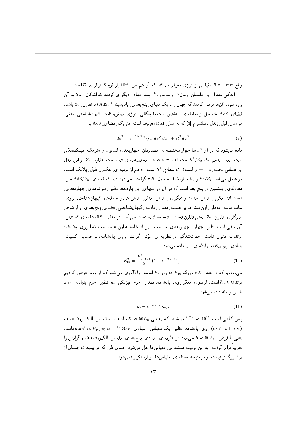واقع ہ $R\approx 1\,\mathrm{mm}$  مقیاسی از انرژی معرفی میکند که آن هم خود  $10^{16}$  بار کوچک تر از  $E_{\mathrm{EW}}$  است. اندکی بعد از این داستان، رَندل<sup>8)</sup> و ساندرام<sup>۱</sup>ا پیشنهاد ِ دیگر ی کردند که اشکال ِ بالا به آن وارد نبود . آنها فرض کردند که جهان <sub>-</sub> ما یک دنیای ِ پنج<sub>ا</sub>بعدی ِ پاددِسیته <sup>i)</sup> (AdS) با تقارن ِ 2<sub>2</sub> باشد. فضای ِ AdS یک حل از معادله ی ِ اینشتین است با چگالی ِ انرژی ِ صفر و ثابت ِ کیهانشناختی ِ منفی ِ. در مدل ِ اول ِ رَندل ـ ساندرام [4] كه به مدل ِ RS1 معروف است، متريك ِ فضاى ِ AdS با

$$
ds^{2} = e^{-2 k R \phi} \eta_{\mu\nu} dx^{\mu} dx^{\nu} + R^{2} d\phi^{2}
$$
 (9)

داده می شود که در آن ۶۰ ها چهار مختصه ی فضازمان چهار بعدی اند و ۴۵٫۰ متریک مینکفسکی است. بعد 1 ینجم یک $S^2/Z_2$  است که با $\phi \leq \phi \leq 0 \,$  مختصهبندی شده است (تقارن 1  $Z_2$  در این مدل این همانی تحت ِ $\phi \to -\phi$  است).  $R$  شعاع ِ  $S^1$  است.  $k$  هم از مرتبه ی ِ عکس ِ طول ِ یلانک است. در عمل میشود 51/22 را یک پارهخط به طول ِ  $\pi\,R$  گرفت. میشود دید که فضای ِ AdS/Z2 حل معادلهی ِ اینشتین در پنج بعد است که در آن دو انتهای ِ این پارهخط نظیر ِ دو شامهی ِ چهاربعدی ِ تخت اند؛ یکی با تنش ِ مثبت و دیگری با تنش ِ منفی . تنش همان جملهی ِ کیهانشناختی روی ِ شامه است. مقدار ِ اين تنش١ها بر حسبِ مقدارِ ِ ثابت ِ كيهانِشناختي ِ فضاي ِ پنجِبعدي، و از شرط ِ سازگاری ِ تقارن ِ 2 $z$ ، یعنی تقارن تحت ِ  $\phi \to -\phi$  به دست می آید. در مدل ِ RS1، شامهای که تنش ِ آن منفی است نظیر \_ جهان \_ چهاربعدی ِ ما است. این انتخاب به این علت است که انرژی ِ پلانک، به عنوان ِ ثابت ِ جفتشدگی در نظریه ی ِ مؤثر ِ گرانش روی ِ پادشامه، بر حسب ِ کمیّت ِ . $E_{\rm pl}$ . بنیادی (  $E_{\rm pl. (5-}$ ، با رابطه ی زیر داده می شود

$$
E_{\rm pl}^2 = \frac{E_{\rm pl,\,(5)}^3}{k} \left(1 - e^{-2 \, k \, R \, \pi} \right). \tag{10}
$$

می بینیم که در حد ِ k R بزرگ  $E_{\rm pl,\,(5)}\thickapprox E_{\rm pl,\,(5)}\thickapprox E_{\rm pl}$  است. یادآوری می کنم که از ابتدا فرض کردیم ، $m$ ، نظیر ِ جرم ِ بنیادی ِ m، از سوی ِ دیگر روی ِ یادشامه، مقدار ِ جرم ِ فیزیکی ِ m، نظیر ِ جرم ِ بنیادی ِ  $\hbar\,c\,k\approx E_{\rm pl}$ با این رابطه داده می شود:

$$
m = e^{-k R \pi} m_0. \tag{11}
$$

یس کافی است 1015  $e^{k\,R\,\pi} \approx e^{k\,R\,\pi}$  باشد تا مقیاس ِالکتروضعیف باشد. ( $m\,c^2 \approx E_{\rm pl,\,(5)} \approx 10^{19}\,{\rm GeV}$  باشد. ( $m\,c^2 \approx 1\,{\rm TeV}$  باشد ( $m\,c^2 \approx 1\,{\rm TeV}$ یعنی با فرض ِ  $\ell_{\rm pl}$  50 ہےشود در نظریه ی ِ بنیادی ِ پنج بعدی، مقیاس ِ الکتروضعیف و گرانش را تقریباً برابر گرفت. به این ترتیب مسئله ی ِ مقیاسها حل میشود. همان طور که می بینید  $R$  چندان از . بزرگتر نیست، و در نتیجه مسئله ی ِ مقیاسها دوباره تکرار نمی شود  $\ell_{\rm pl}$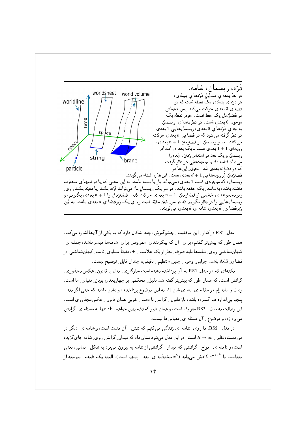

مدل ِ RS1 در کنار ِ این موفقیت ِ چشمگیرش، چند اشکال دارد که به یکی از آنها اشاره میکنم. همان طور که پیشتر گفتم، برای ِ آن که پیکربندی ِ مفروض برای ِ شامهها میسر باشد، جمله ی ِ کیهانشناختی روی ِ شامهها باید صرف ِ نظر از یک علامت ِ ±، دقیقاً مساوی ِ ثابت ِ کیهانشناختی در فضاي ِ AdS باشد. چرايي ِ وجود ِ چنين «تنظيم ِ دقيقي» چندان قابل ِ توضيح نيست.

نکتهای که در مدل RS1 به آن پرداخته نشده است سازگاری ِ مدل با قانون ِ عکس مجذوری ِ گرانش است، که همان طور که پیشتر گفته شد دلیل ِ محکمی بر چهاربعدی بودن ِ دنیای ِ ما است. رَندل و ساندرام در مقاله ی ِ بعدی شان [5] به این موضوع پرداختند، و نشان دادند که حتبی اگر بعد ِ ینجم بی|ندازه هم گسترده باشد، باز قانون ِ گرانش با دقت ِ خوبی همان قانون ِ عکسمجذوری است. این رهیافت به مدل \_ RS2 معروف است، و همان طور که تشخیص خواهید داد تنها به مسئله ی ِ گرانش میپردازد، و موضوع <sub>-</sub> آن مسئله ی ِ مقیاسها نیست.

در مدل \_ RS2، ما روي ِ شامه اي زندگي ميكنيم كه تنش \_ آن مثبت است، و شامه ي ِ ديگر در دوردست، نظیر ِ $\in R \to R$  است. در این مدل می شود نشان داد که میدان ِ گرانش روی ِ شامه جای گزیده است، و دامنه ی ِ امواج ِ گرانشی که میدان ِ گرانشی از شامه به بیرون می برد به شکل ِ نمایی، یعنی متناسب با  $e^{-k\,x^5}$  کاهش مییابد  $x^5$  مختصّه ی ِ بعد ِ پنجم است). البته یک طیف ِ پیوسته از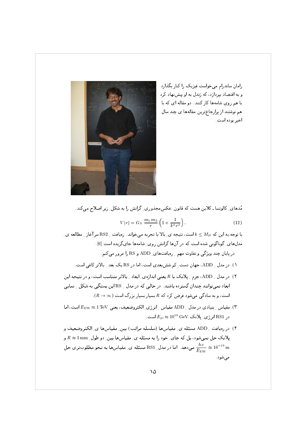رامان ساندرام میخواست فیزیک را کنار بگذارد و به اقتصاد بپردازد، که رَندل به او پیشنهاد کرد با هم روی شامهها کار کنند. دو مقاله ای که با هم نوشتند از پرارجاع ترین مقالهها ی چند سال اخير بوده است.



مُدھای ِ کالوتسا ـ کلاین ھست که قانون ِ عکس مجذوری ِ گرانش را به شکل ِ زیر اصلاح می کند.

$$
V(r) = G_N \frac{m_1 m_2}{r} \left( 1 + \frac{1}{k^2 r^2} \right).
$$
 (12)

با توجه به این که  $k\leq M_{\rm pl}$  است، نتیجه ی ِ بالا با تجربه میخواند. رهیافت ِ RS2 سرآغاز ِ مطالعه ی ِ مدلهای ِ گوناگونی شده است که در آنها گرانش روی ِ شامهها جایگزیده است [6] . در پایان چند ویژگی و تفاوت مهم ِ رِهیافتهای ِ ADD و RS را مرور می کنم.

- ۱) در مدل \_ ADD، جهان دست ِ کم شش بعدی است، اما در RS یک بعد \_ بالاتر کافی است.
- ۲) در مدل \_ ADD، جرم \_ پلانک با R يعني اندازهي ِ ابعاد \_ بالاتر متناسب است، و در نتيجه اين ابعاد نمیتوانند چندان گسترده باشند. در حالی که در مدل BS یا این بستگی به شکل تعایی است، و به سادگی می شود فرض کرد که  $R$  بسیار بسیار بزرگ است  $(R\to\infty)$ .
- مقياس ِ بنيادي در مدل ِ ADD مقياس ِ انرژي ِ الكتروضعيف، يعني EEw  $\approx 1\,{\rm TeV}$  است، اما MP در  $\mathrm{RS1}$  انرژی ِ پلانک  $\mathrm{GeV}$   $\approx 10^{19}\,\mathrm{GeV}$  است.
- ۴) در رەيافت \_ ADD مسئله ي\_ مقياسها (سلسله مراتب) بين\_ مقياسها ي\_ الكتروضعيف و یلانک حل نمیشود، بل که جای ِ خود را به مسئله ی ِ مقیاسها بین ِ دو طول ِ n mm و می دهد. اما در مدل ِ RS1 مسئله ی ِ مقیاسها به نحو مطلوبتری حل Ms می دهد. اما در مدل  $\frac{h\,c}{F_{\rm env}} \approx 10^{-19}\,{\rm m}$ مىشود.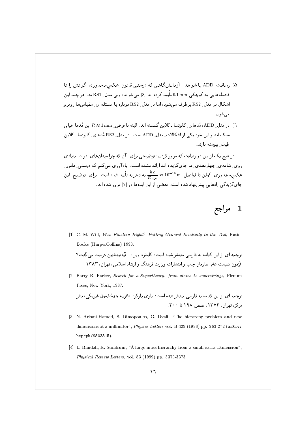- ۵) ,میافت ِ ADD با شواهد <sub>-</sub> آزمایشگاهی که درستی قانون ِ عکسمجذوری ِ گرانش را تا فاصلههایے ِ به کوچکے ، 0.1 mm تأیید کرده اند [8] می خواند، ولی مدل ِ RS1 نه . هر چند این اشکال در مدل RS2 برطرف میشود، اما در مدل ِ RS2 دوباره با مسئله ی ِ مقیاسها روبرو مے شویم.
- ٦) در مدل ِ ADD، مُدهای ِ کالوتسا ـ کلاین گسسته اند. البته با فرض ِ 1mm ≈ 1 این مُدها خیلی سبک اند و این خود یکی از اشکالات ِ مدل ِ ADD است. در مدل ِ RS2 مُدهای ِ کالوتسا ـ کلاین طيف پيوسته دارند.

در هیچ یک از این دو رهیافت که مرور کردیم، توضیحی برای ِ آن که چرا میدانهای ِ ذرات ِ بنیادی روی ِ شامه ی ِ چهاربعدی ِ ما جایگزیده اند ارائه نشده است. یادآوری میکنم که درستی ِ قانون ِ عکسِمجذوری ِ کولن تا فواصل ِ  $\frac{hc}{E_{\text{EW}}} \approx 10^{-19} \text{ m}$  به تجربه تأیید شده است. برای ِ توضیح ِ این جای گزیدگی راههایی پیشنهاد شده است. بعضی از این ایدهها در [7] مرور شده اند.

## مراجع  $\mathbf 1$

- [1] C. M. Will, Was Einstein Right? Putting General Relativity to the Test, Basic-Books (HarperCollins) 1993.
	- ترجمه ای از این کتاب به فارسی منتشر شده است: کلیفرد ویل: آیا اینشتین درست می گفت؟ آزمون نسبیت عام، سازمان چاپ و انتشارات و زارت فرهنگ و ارشاد اسلامی، تهران، ۱۳۸۳
- [2] Barry R. Parker, Search for a Supertheory: from atoms to superstrings, Plenum Press, New York, 1987.

ترجمه ای از این کتاب به فارسی منتشر شده است: باری پارکر، نظریه جهانشمول فیزیکی، نشر مرکز، تھران، ۱۳۷۴، صص ۱۹۸ تا ۲۰۰

- [3] N. Arkani-Hamed, S. Dimopoulos, G. Dvali, "The hierarchy problem and new dimensions at a millimiter", Physics Letters vol. B 429 (1998) pp. 263-272 (arXiv: hep-ph/9803315).
- [4] L. Randall, R. Sundrum, "A large mass hierarchy from a small extra Dimension", Physical Review Letters, vol. 83 (1999) pp. 3370-3373.